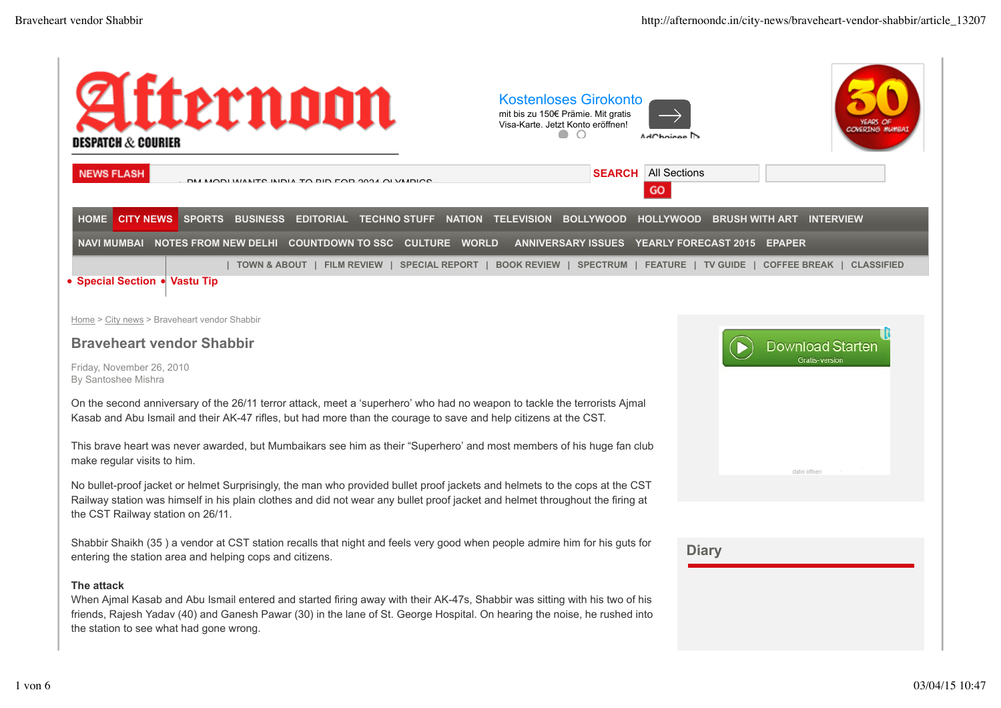